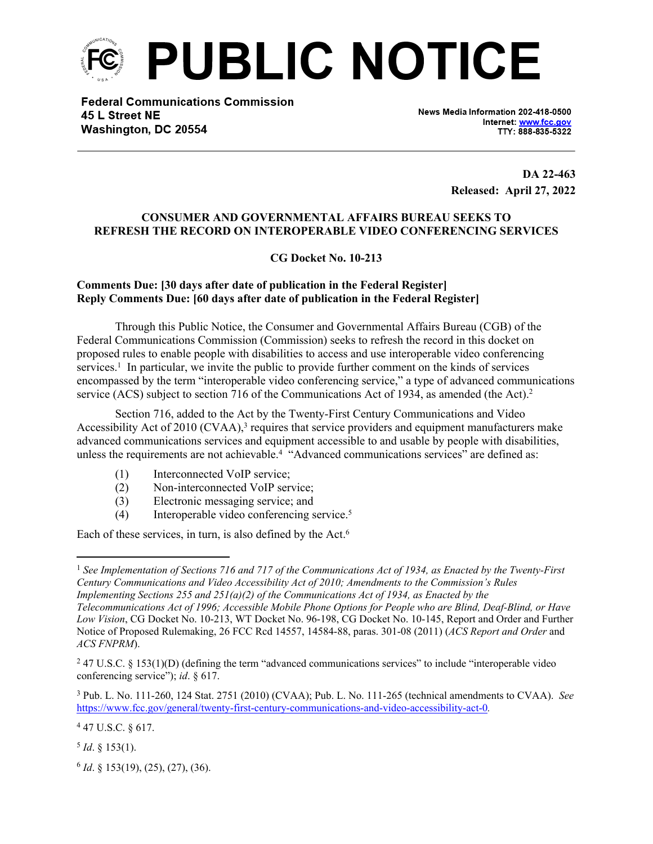

**Federal Communications Commission** 45 L Street NE Washington, DC 20554

News Media Information 202-418-0500 Internet: www.fcc.gov TTY: 888-835-5322

> **DA 22-463 Released: April 27, 2022**

## **CONSUMER AND GOVERNMENTAL AFFAIRS BUREAU SEEKS TO REFRESH THE RECORD ON INTEROPERABLE VIDEO CONFERENCING SERVICES**

**CG Docket No. 10-213** 

## **Comments Due: [30 days after date of publication in the Federal Register] Reply Comments Due: [60 days after date of publication in the Federal Register]**

Through this Public Notice, the Consumer and Governmental Affairs Bureau (CGB) of the Federal Communications Commission (Commission) seeks to refresh the record in this docket on proposed rules to enable people with disabilities to access and use interoperable video conferencing services.<sup>1</sup> In particular, we invite the public to provide further comment on the kinds of services encompassed by the term "interoperable video conferencing service," a type of advanced communications service (ACS) subject to section 716 of the Communications Act of 1934, as amended (the Act).<sup>2</sup>

Section 716, added to the Act by the Twenty-First Century Communications and Video Accessibility Act of 2010 (CVAA),<sup>3</sup> requires that service providers and equipment manufacturers make advanced communications services and equipment accessible to and usable by people with disabilities, unless the requirements are not achievable.<sup>4</sup> "Advanced communications services" are defined as:

- (1) Interconnected VoIP service;
- (2) Non-interconnected VoIP service;
- (3) Electronic messaging service; and
- (4) Interoperable video conferencing service.<sup>5</sup>

Each of these services, in turn, is also defined by the Act.<sup>6</sup>

6 *Id*. § 153(19), (25), (27), (36).

<sup>1</sup> *See Implementation of Sections 716 and 717 of the Communications Act of 1934, as Enacted by the Twenty-First Century Communications and Video Accessibility Act of 2010; Amendments to the Commission's Rules Implementing Sections 255 and 251(a)(2) of the Communications Act of 1934, as Enacted by the Telecommunications Act of 1996; Accessible Mobile Phone Options for People who are Blind, Deaf-Blind, or Have Low Vision*, CG Docket No. 10-213, WT Docket No. 96-198, CG Docket No. 10-145, Report and Order and Further Notice of Proposed Rulemaking, 26 FCC Rcd 14557, 14584-88, paras. 301-08 (2011) (*ACS Report and Order* and *ACS FNPRM*).

<sup>&</sup>lt;sup>2</sup> 47 U.S.C. § 153(1)(D) (defining the term "advanced communications services" to include "interoperable video conferencing service"); *id*. § 617.

<sup>3</sup> Pub. L. No. 111-260, 124 Stat. 2751 (2010) (CVAA); Pub. L. No. 111-265 (technical amendments to CVAA). *See*  <https://www.fcc.gov/general/twenty-first-century-communications-and-video-accessibility-act-0>*.*

 $447$  U.S.C. § 617.

 $^{5}$  *Id*. § 153(1).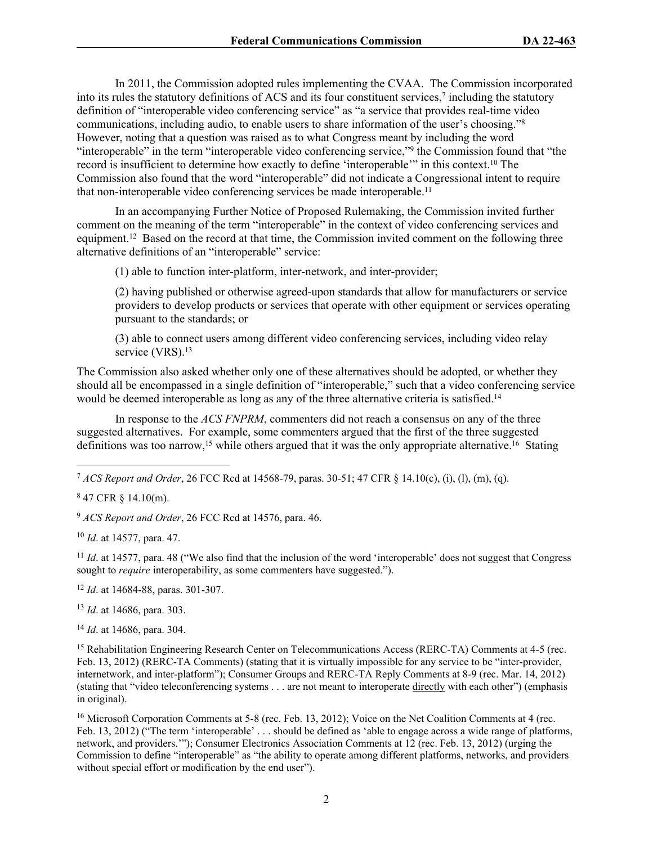In 2011, the Commission adopted rules implementing the CVAA. The Commission incorporated into its rules the statutory definitions of ACS and its four constituent services,<sup>7</sup> including the statutory definition of "interoperable video conferencing service" as "a service that provides real-time video communications, including audio, to enable users to share information of the user's choosing."<sup>8</sup> However, noting that a question was raised as to what Congress meant by including the word "interoperable" in the term "interoperable video conferencing service,"<sup>9</sup> the Commission found that "the record is insufficient to determine how exactly to define 'interoperable'" in this context.<sup>10</sup> The Commission also found that the word "interoperable" did not indicate a Congressional intent to require that non-interoperable video conferencing services be made interoperable.<sup>11</sup>

In an accompanying Further Notice of Proposed Rulemaking, the Commission invited further comment on the meaning of the term "interoperable" in the context of video conferencing services and equipment.<sup>12</sup> Based on the record at that time, the Commission invited comment on the following three alternative definitions of an "interoperable" service:

(1) able to function inter-platform, inter-network, and inter-provider;

(2) having published or otherwise agreed-upon standards that allow for manufacturers or service providers to develop products or services that operate with other equipment or services operating pursuant to the standards; or

(3) able to connect users among different video conferencing services, including video relay service (VRS).<sup>13</sup>

The Commission also asked whether only one of these alternatives should be adopted, or whether they should all be encompassed in a single definition of "interoperable," such that a video conferencing service would be deemed interoperable as long as any of the three alternative criteria is satisfied.<sup>14</sup>

In response to the *ACS FNPRM*, commenters did not reach a consensus on any of the three suggested alternatives. For example, some commenters argued that the first of the three suggested definitions was too narrow,<sup>15</sup> while others argued that it was the only appropriate alternative.<sup>16</sup> Stating

<sup>7</sup> *ACS Report and Order*, 26 FCC Rcd at 14568-79, paras. 30-51; 47 CFR § 14.10(c), (i), (l), (m), (q).

<sup>9</sup> *ACS Report and Order*, 26 FCC Rcd at 14576, para. 46.

<sup>10</sup> *Id*. at 14577, para. 47.

<sup>11</sup> *Id.* at 14577, para. 48 ("We also find that the inclusion of the word 'interoperable' does not suggest that Congress sought to *require* interoperability, as some commenters have suggested.").

<sup>12</sup> *Id*. at 14684-88, paras. 301-307.

<sup>13</sup> *Id*. at 14686, para. 303.

<sup>14</sup> *Id*. at 14686, para. 304.

<sup>15</sup> Rehabilitation Engineering Research Center on Telecommunications Access (RERC-TA) Comments at 4-5 (rec. Feb. 13, 2012) (RERC-TA Comments) (stating that it is virtually impossible for any service to be "inter-provider, internetwork, and inter-platform"); Consumer Groups and RERC-TA Reply Comments at 8-9 (rec. Mar. 14, 2012) (stating that "video teleconferencing systems . . . are not meant to interoperate directly with each other") (emphasis in original).

<sup>16</sup> Microsoft Corporation Comments at 5-8 (rec. Feb. 13, 2012); Voice on the Net Coalition Comments at 4 (rec. Feb. 13, 2012) ("The term 'interoperable' ... should be defined as 'able to engage across a wide range of platforms, network, and providers.'"); Consumer Electronics Association Comments at 12 (rec. Feb. 13, 2012) (urging the Commission to define "interoperable" as "the ability to operate among different platforms, networks, and providers without special effort or modification by the end user").

<sup>8</sup> 47 CFR § 14.10(m).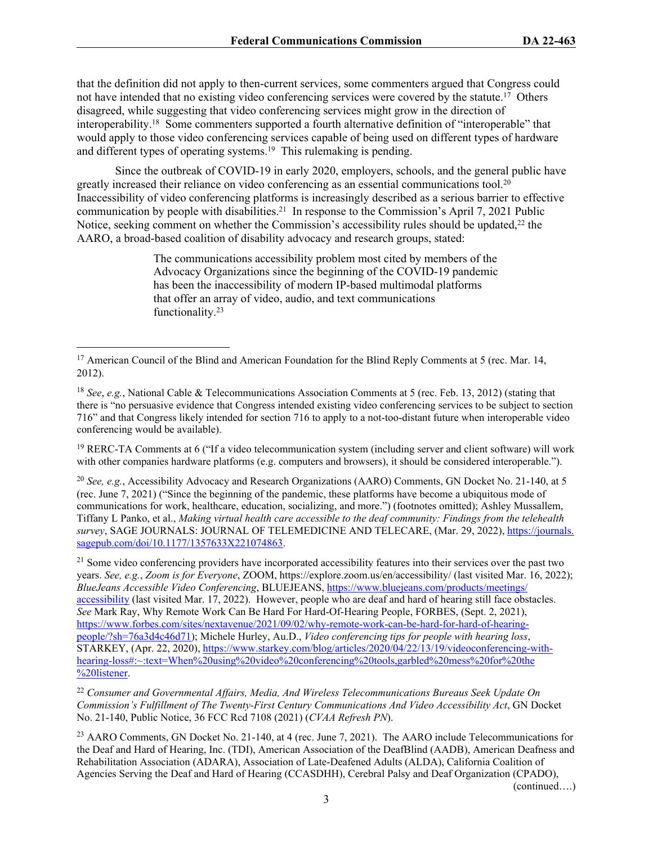that the definition did not apply to then-current services, some commenters argued that Congress could not have intended that no existing video conferencing services were covered by the statute.<sup>17</sup> Others disagreed, while suggesting that video conferencing services might grow in the direction of interoperability.<sup>18</sup> Some commenters supported a fourth alternative definition of "interoperable" that would apply to those video conferencing services capable of being used on different types of hardware and different types of operating systems.<sup>19</sup> This rulemaking is pending.

Since the outbreak of COVID-19 in early 2020, employers, schools, and the general public have greatly increased their reliance on video conferencing as an essential communications tool.<sup>20</sup> Inaccessibility of video conferencing platforms is increasingly described as a serious barrier to effective communication by people with disabilities.<sup>21</sup> In response to the Commission's April 7, 2021 Public Notice, seeking comment on whether the Commission's accessibility rules should be updated.<sup>22</sup> the AARO, a broad-based coalition of disability advocacy and research groups, stated:

> The communications accessibility problem most cited by members of the Advocacy Organizations since the beginning of the COVID-19 pandemic has been the inaccessibility of modern IP-based multimodal platforms that offer an array of video, audio, and text communications functionality.<sup>23</sup>

<sup>19</sup> RERC-TA Comments at 6 ("If a video telecommunication system (including server and client software) will work with other companies hardware platforms (e.g. computers and browsers), it should be considered interoperable.").

<sup>20</sup> *See, e.g.*, Accessibility Advocacy and Research Organizations (AARO) Comments, GN Docket No. 21-140, at 5 (rec. June 7, 2021) ("Since the beginning of the pandemic, these platforms have become a ubiquitous mode of communications for work, healthcare, education, socializing, and more.") (footnotes omitted); Ashley Mussallem, Tiffany L Panko, et al., *Making virtual health care accessible to the deaf community: Findings from the telehealth survey*, SAGE JOURNALS: JOURNAL OF TELEMEDICINE AND TELECARE, (Mar. 29, 2022), [https://journals.](https://journals.%E2%80%8Csagepub.com/doi/10.1177/1357633X221074863) [sagepub.com/doi/10.1177/1357633X221074863](https://journals.%E2%80%8Csagepub.com/doi/10.1177/1357633X221074863).

 $21$  Some video conferencing providers have incorporated accessibility features into their services over the past two years. *See, e.g.*, *Zoom is for Everyone*, ZOOM, https://explore.zoom.us/en/accessibility/ (last visited Mar. 16, 2022); *BlueJeans Accessible Video Conferencing*, BLUEJEANS, [https://www.bluejeans.com/products/meetings/](https://www.bluejeans.com/products/meetings/%E2%80%8Caccessibility) [accessibility](https://www.bluejeans.com/products/meetings/%E2%80%8Caccessibility) (last visited Mar. 17, 2022). However, people who are deaf and hard of hearing still face obstacles. *See* Mark Ray, Why Remote Work Can Be Hard For Hard-Of-Hearing People, FORBES, (Sept. 2, 2021), [https://www.forbes.com/sites/nextavenue/2021/09/02/why-remote-work-can-be-hard-for-hard-of-hearing](https://www.forbes.com/sites/nextavenue/2021/09/02/why-remote-work-can-be-hard-for-hard-of-hearing-people/?sh=76a3d4c46d71)[people/?sh=76a3d4c46d71](https://www.forbes.com/sites/nextavenue/2021/09/02/why-remote-work-can-be-hard-for-hard-of-hearing-people/?sh=76a3d4c46d71)); Michele Hurley, Au.D., *Video conferencing tips for people with hearing loss*, STARKEY, (Apr. 22, 2020), [https://www.starkey.com/blog/articles/2020/04/22/13/19/videoconferencing-with](https://www.starkey.com/blog/articles/2020/04/22/13/19/videoconferencing-with-hearing-%E2%80%8Closs#:~:text=When%20using%20video%20conferencing%20tools,garbled%20mess%20for%20the%E2%80%8C%20listener)[hearing-loss#:~:text=When%20using%20video%20conferencing%20tools,garbled%20mess%20for%20the](https://www.starkey.com/blog/articles/2020/04/22/13/19/videoconferencing-with-hearing-%E2%80%8Closs#:~:text=When%20using%20video%20conferencing%20tools,garbled%20mess%20for%20the%E2%80%8C%20listener) [%20listener.](https://www.starkey.com/blog/articles/2020/04/22/13/19/videoconferencing-with-hearing-%E2%80%8Closs#:~:text=When%20using%20video%20conferencing%20tools,garbled%20mess%20for%20the%E2%80%8C%20listener)

<sup>22</sup> *Consumer and Governmental Affairs, Media, And Wireless Telecommunications Bureaus Seek Update On Commission's Fulfillment of The Twenty-First Century Communications And Video Accessibility Act*, GN Docket No. 21-140, Public Notice, 36 FCC Rcd 7108 (2021) (*CVAA Refresh PN*).

<sup>23</sup> AARO Comments, GN Docket No. 21-140, at 4 (rec. June 7, 2021). The AARO include Telecommunications for the Deaf and Hard of Hearing, Inc. (TDI), American Association of the DeafBlind (AADB), American Deafness and Rehabilitation Association (ADARA), Association of Late-Deafened Adults (ALDA), California Coalition of Agencies Serving the Deaf and Hard of Hearing (CCASDHH), Cerebral Palsy and Deaf Organization (CPADO),

(continued….)

<sup>&</sup>lt;sup>17</sup> American Council of the Blind and American Foundation for the Blind Reply Comments at 5 (rec. Mar. 14, 2012).

<sup>18</sup> *See*, *e.g.*, National Cable & Telecommunications Association Comments at 5 (rec. Feb. 13, 2012) (stating that there is "no persuasive evidence that Congress intended existing video conferencing services to be subject to section 716" and that Congress likely intended for section 716 to apply to a not-too-distant future when interoperable video conferencing would be available).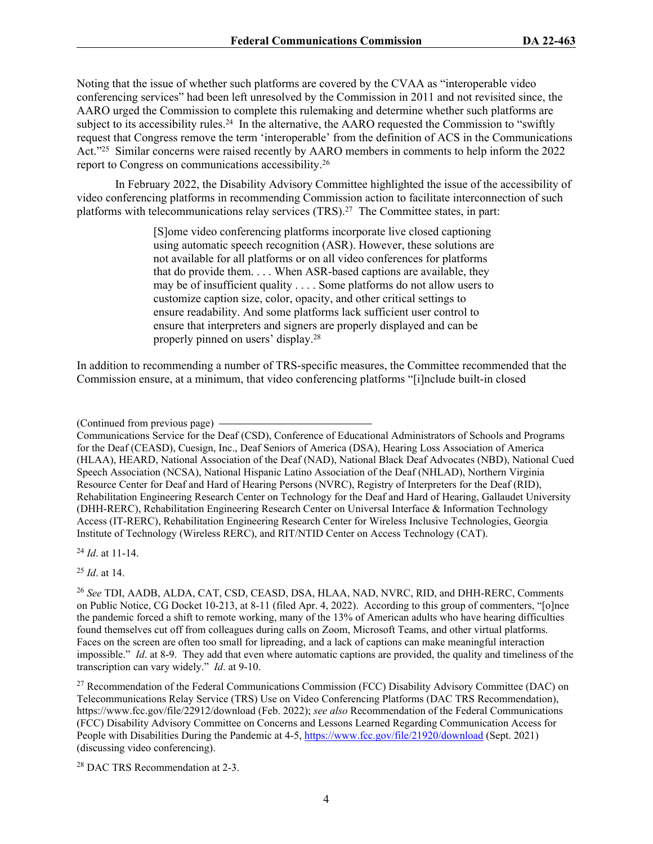Noting that the issue of whether such platforms are covered by the CVAA as "interoperable video conferencing services" had been left unresolved by the Commission in 2011 and not revisited since, the AARO urged the Commission to complete this rulemaking and determine whether such platforms are subject to its accessibility rules.<sup>24</sup> In the alternative, the AARO requested the Commission to "swiftly" request that Congress remove the term 'interoperable' from the definition of ACS in the Communications Act."<sup>25</sup> Similar concerns were raised recently by AARO members in comments to help inform the 2022 report to Congress on communications accessibility.<sup>26</sup>

In February 2022, the Disability Advisory Committee highlighted the issue of the accessibility of video conferencing platforms in recommending Commission action to facilitate interconnection of such platforms with telecommunications relay services (TRS).<sup>27</sup> The Committee states, in part:

> [S]ome video conferencing platforms incorporate live closed captioning using automatic speech recognition (ASR). However, these solutions are not available for all platforms or on all video conferences for platforms that do provide them. . . . When ASR-based captions are available, they may be of insufficient quality . . . . Some platforms do not allow users to customize caption size, color, opacity, and other critical settings to ensure readability. And some platforms lack sufficient user control to ensure that interpreters and signers are properly displayed and can be properly pinned on users' display.<sup>28</sup>

In addition to recommending a number of TRS-specific measures, the Committee recommended that the Commission ensure, at a minimum, that video conferencing platforms "[i]nclude built-in closed

Communications Service for the Deaf (CSD), Conference of Educational Administrators of Schools and Programs for the Deaf (CEASD), Cuesign, Inc., Deaf Seniors of America (DSA), Hearing Loss Association of America (HLAA), HEARD, National Association of the Deaf (NAD), National Black Deaf Advocates (NBD), National Cued Speech Association (NCSA), National Hispanic Latino Association of the Deaf (NHLAD), Northern Virginia Resource Center for Deaf and Hard of Hearing Persons (NVRC), Registry of Interpreters for the Deaf (RID), Rehabilitation Engineering Research Center on Technology for the Deaf and Hard of Hearing, Gallaudet University (DHH-RERC), Rehabilitation Engineering Research Center on Universal Interface & Information Technology Access (IT-RERC), Rehabilitation Engineering Research Center for Wireless Inclusive Technologies, Georgia Institute of Technology (Wireless RERC), and RIT/NTID Center on Access Technology (CAT).

<sup>24</sup> *Id*. at 11-14.

<sup>25</sup> *Id*. at 14.

<sup>27</sup> Recommendation of the Federal Communications Commission (FCC) Disability Advisory Committee (DAC) on Telecommunications Relay Service (TRS) Use on Video Conferencing Platforms (DAC TRS Recommendation), https://www.fcc.gov/file/22912/download (Feb. 2022); *see also* Recommendation of the Federal Communications (FCC) Disability Advisory Committee on Concerns and Lessons Learned Regarding Communication Access for People with Disabilities During the Pandemic at 4-5, <https://www.fcc.gov/file/21920/download> (Sept. 2021) (discussing video conferencing).

28 DAC TRS Recommendation at 2-3.

<sup>(</sup>Continued from previous page)

<sup>26</sup> *See* TDI, AADB, ALDA, CAT, CSD, CEASD, DSA, HLAA, NAD, NVRC, RID, and DHH-RERC, Comments on Public Notice, CG Docket 10-213, at 8-11 (filed Apr. 4, 2022). According to this group of commenters, "[o]nce the pandemic forced a shift to remote working, many of the 13% of American adults who have hearing difficulties found themselves cut off from colleagues during calls on Zoom, Microsoft Teams, and other virtual platforms. Faces on the screen are often too small for lipreading, and a lack of captions can make meaningful interaction impossible." *Id*. at 8-9. They add that even where automatic captions are provided, the quality and timeliness of the transcription can vary widely." *Id*. at 9-10.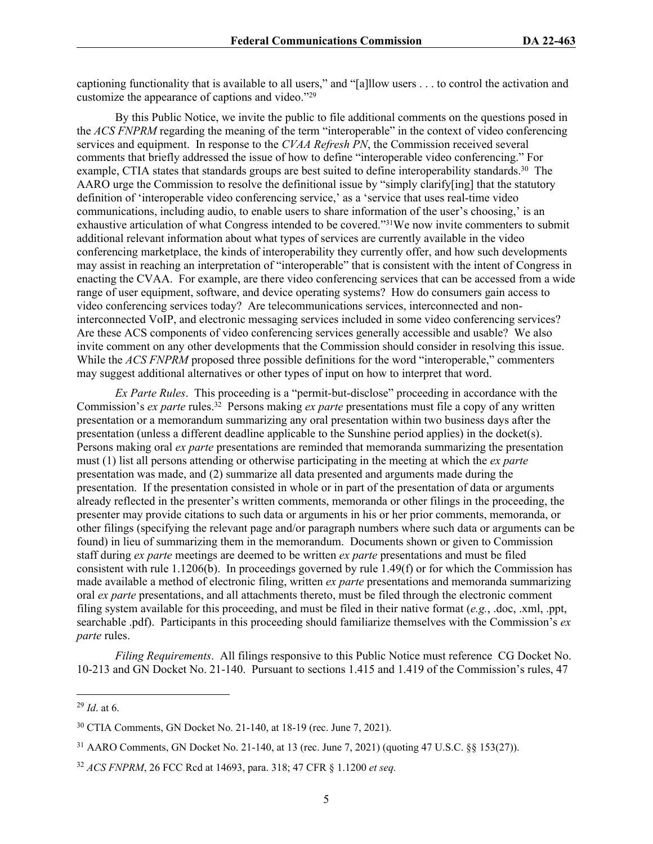captioning functionality that is available to all users," and "[a]llow users . . . to control the activation and customize the appearance of captions and video."<sup>29</sup>

By this Public Notice, we invite the public to file additional comments on the questions posed in the *ACS FNPRM* regarding the meaning of the term "interoperable" in the context of video conferencing services and equipment. In response to the *CVAA Refresh PN*, the Commission received several comments that briefly addressed the issue of how to define "interoperable video conferencing." For example, CTIA states that standards groups are best suited to define interoperability standards.<sup>30</sup> The AARO urge the Commission to resolve the definitional issue by "simply clarify[ing] that the statutory definition of 'interoperable video conferencing service,' as a 'service that uses real-time video communications, including audio, to enable users to share information of the user's choosing,' is an exhaustive articulation of what Congress intended to be covered."<sup>31</sup>We now invite commenters to submit additional relevant information about what types of services are currently available in the video conferencing marketplace, the kinds of interoperability they currently offer, and how such developments may assist in reaching an interpretation of "interoperable" that is consistent with the intent of Congress in enacting the CVAA. For example, are there video conferencing services that can be accessed from a wide range of user equipment, software, and device operating systems? How do consumers gain access to video conferencing services today? Are telecommunications services, interconnected and noninterconnected VoIP, and electronic messaging services included in some video conferencing services? Are these ACS components of video conferencing services generally accessible and usable? We also invite comment on any other developments that the Commission should consider in resolving this issue. While the *ACS FNPRM* proposed three possible definitions for the word "interoperable," commenters may suggest additional alternatives or other types of input on how to interpret that word.

*Ex Parte Rules*. This proceeding is a "permit-but-disclose" proceeding in accordance with the Commission's *ex parte* rules.<sup>32</sup> Persons making *ex parte* presentations must file a copy of any written presentation or a memorandum summarizing any oral presentation within two business days after the presentation (unless a different deadline applicable to the Sunshine period applies) in the docket(s). Persons making oral *ex parte* presentations are reminded that memoranda summarizing the presentation must (1) list all persons attending or otherwise participating in the meeting at which the *ex parte*  presentation was made, and (2) summarize all data presented and arguments made during the presentation. If the presentation consisted in whole or in part of the presentation of data or arguments already reflected in the presenter's written comments, memoranda or other filings in the proceeding, the presenter may provide citations to such data or arguments in his or her prior comments, memoranda, or other filings (specifying the relevant page and/or paragraph numbers where such data or arguments can be found) in lieu of summarizing them in the memorandum. Documents shown or given to Commission staff during *ex parte* meetings are deemed to be written *ex parte* presentations and must be filed consistent with rule 1.1206(b). In proceedings governed by rule 1.49(f) or for which the Commission has made available a method of electronic filing, written *ex parte* presentations and memoranda summarizing oral *ex parte* presentations, and all attachments thereto, must be filed through the electronic comment filing system available for this proceeding, and must be filed in their native format (*e.g.*, .doc, .xml, .ppt, searchable .pdf). Participants in this proceeding should familiarize themselves with the Commission's *ex parte* rules.

*Filing Requirements*. All filings responsive to this Public Notice must reference CG Docket No. 10-213 and GN Docket No. 21-140. Pursuant to sections 1.415 and 1.419 of the Commission's rules, 47

<sup>29</sup> *Id*. at 6.

<sup>30</sup> CTIA Comments, GN Docket No. 21-140, at 18-19 (rec. June 7, 2021).

<sup>31</sup> AARO Comments, GN Docket No. 21-140, at 13 (rec. June 7, 2021) (quoting 47 U.S.C. §§ 153(27)).

<sup>32</sup> *ACS FNPRM*, 26 FCC Rcd at 14693, para. 318; 47 CFR § 1.1200 *et seq.*